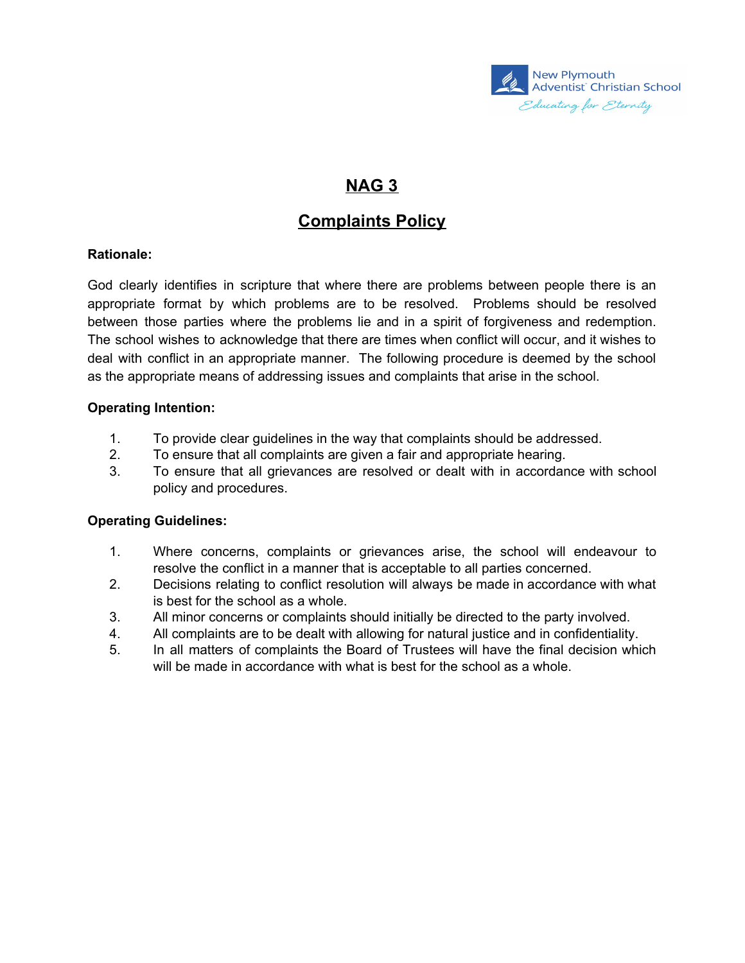

# **NAG 3**

## **Complaints Policy**

#### **Rationale:**

God clearly identifies in scripture that where there are problems between people there is an appropriate format by which problems are to be resolved. Problems should be resolved between those parties where the problems lie and in a spirit of forgiveness and redemption. The school wishes to acknowledge that there are times when conflict will occur, and it wishes to deal with conflict in an appropriate manner. The following procedure is deemed by the school as the appropriate means of addressing issues and complaints that arise in the school.

#### **Operating Intention:**

- 1. To provide clear guidelines in the way that complaints should be addressed.
- 2. To ensure that all complaints are given a fair and appropriate hearing.
- 3. To ensure that all grievances are resolved or dealt with in accordance with school policy and procedures.

#### **Operating Guidelines:**

- 1. Where concerns, complaints or grievances arise, the school will endeavour to resolve the conflict in a manner that is acceptable to all parties concerned.
- 2. Decisions relating to conflict resolution will always be made in accordance with what is best for the school as a whole.
- 3. All minor concerns or complaints should initially be directed to the party involved.
- 4. All complaints are to be dealt with allowing for natural justice and in confidentiality.
- 5. In all matters of complaints the Board of Trustees will have the final decision which will be made in accordance with what is best for the school as a whole.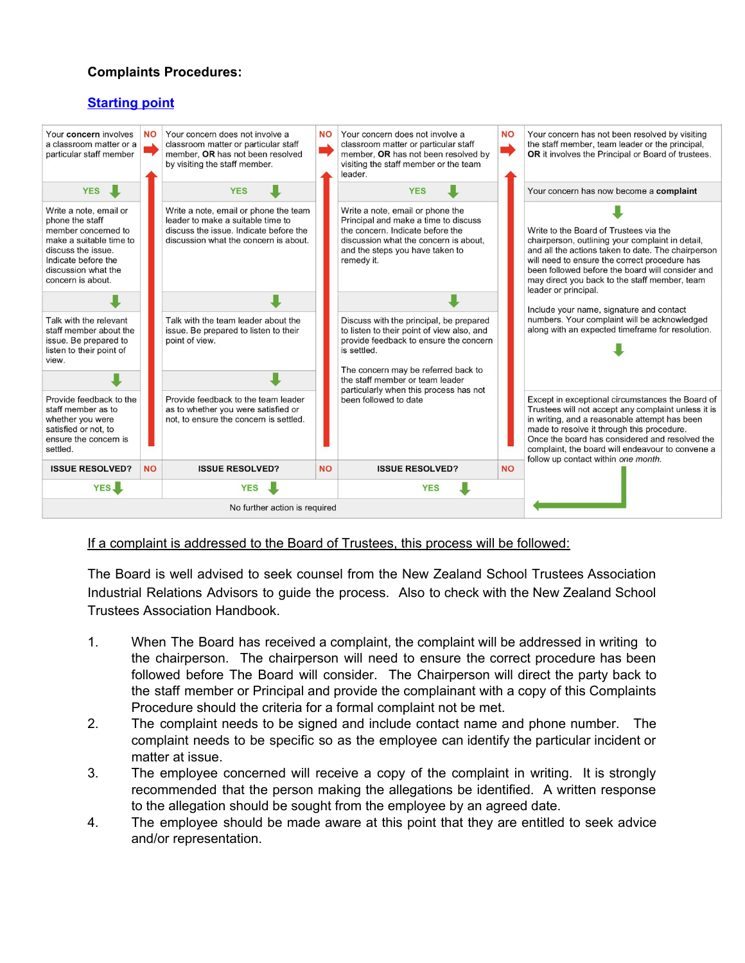#### **Complaints Procedures:**

### **Starting point**



#### If a complaint is addressed to the Board of Trustees, this process will be followed:

The Board is well advised to seek counsel from the New Zealand School Trustees Association Industrial Relations Advisors to guide the process. Also to check with the New Zealand School Trustees Association Handbook.

- 1. When The Board has received a complaint, the complaint will be addressed in writing to the chairperson. The chairperson will need to ensure the correct procedure has been followed before The Board will consider. The Chairperson will direct the party back to the staff member or Principal and provide the complainant with a copy of this Complaints Procedure should the criteria for a formal complaint not be met.
- 2. The complaint needs to be signed and include contact name and phone number. The complaint needs to be specific so as the employee can identify the particular incident or matter at issue.
- 3. The employee concerned will receive a copy of the complaint in writing. It is strongly recommended that the person making the allegations be identified. A written response to the allegation should be sought from the employee by an agreed date.
- 4. The employee should be made aware at this point that they are entitled to seek advice and/or representation.